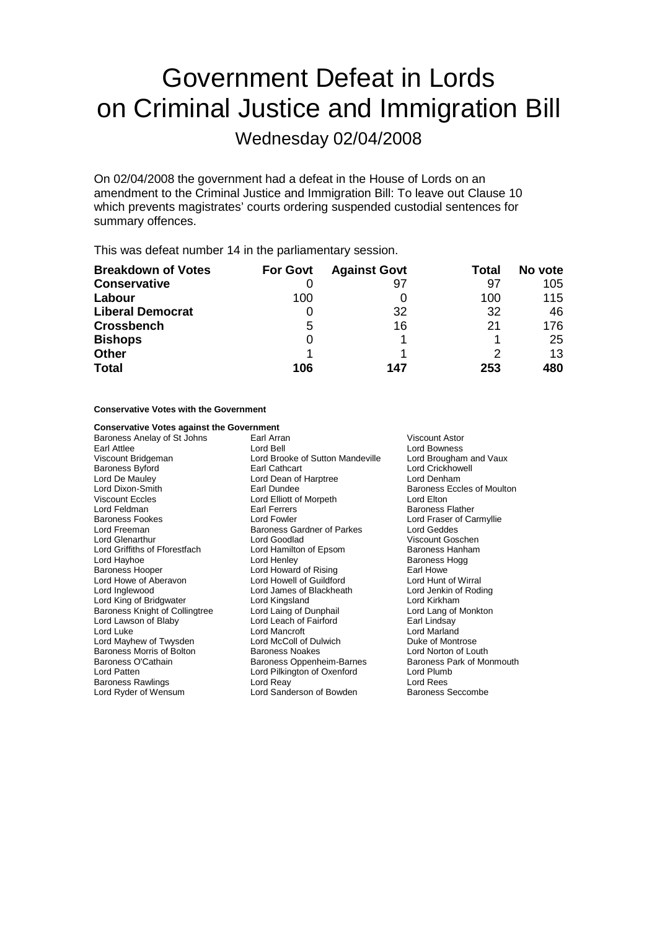# Government Defeat in Lords on Criminal Justice and Immigration Bill

Wednesday 02/04/2008

On 02/04/2008 the government had a defeat in the House of Lords on an amendment to the Criminal Justice and Immigration Bill: To leave out Clause 10 which prevents magistrates' courts ordering suspended custodial sentences for summary offences.

This was defeat number 14 in the parliamentary session.

| <b>Breakdown of Votes</b> | <b>For Govt</b> | <b>Against Govt</b> | Total | No vote |
|---------------------------|-----------------|---------------------|-------|---------|
| <b>Conservative</b>       |                 | 97                  | 97    | 105     |
| Labour                    | 100             |                     | 100   | 115     |
| <b>Liberal Democrat</b>   |                 | 32                  | 32    | 46      |
| <b>Crossbench</b>         | 5               | 16                  | 21    | 176     |
| <b>Bishops</b>            | 0               |                     |       | 25      |
| <b>Other</b>              |                 |                     |       | 13      |
| <b>Total</b>              | 106             | 147                 | 253   | 480     |

## **Conservative Votes with the Government**

### **Conservative Votes against the Government**

Viscount Eccles Lord Elliott of Morpeth Lord Elton Lord Howe of Aberavon Lord Ryder of Wensum **Lord Sanderson of Bowden** 

Baroness Anelay of St Johns Earl Arran Viscount Astor Earl Attlee **Lord Boy Communist Communist Communist Communist Communist Communist Communist Communist Communist Communist Communist Communist Communist Communist Communist Communist Communist Communist Communist Communist** Viscount Bridgeman Lord Brooke of Sutton Mandeville<br>
Baroness Byford Brown Barl Cathcart Lord De Mauley Lord Dean of Harptree Lord Denham Lord Dixon-Smith **Earl Dundee** Earl Dundee **Baroness Eccles of Moulton**<br>
Viscount Eccles **Baroness Eccles Earl Dundee Earl Dundee Baroness Eccles of Moulton** Baroness Fookes Lord Fowler Lord Fraser of Carmyllie Lord Freeman **Baroness Gardner of Parkes** Lord Geddes<br>
Lord Genarthur **Baroness Gardner of Parkes** Viscount Gos Lord Griffiths of Fforestfach Lord Hamilton of Epsom Baroness Hanham Lord Hayhoe **Lord Henley** Cord Henley **Baroness Hogg**<br>
Baroness Hooper **Lord Howard of Rising** Earl Howe Lord Howard of Rising<br>
Lord Howell of Guildford<br>
Lord Hunt of Wirral Lord Inglewood Lord James of Blackheath Lord Jenkin of Roding Lord King of Bridgwater **Lord Kingsland** Lord Alexander Cord Kingsland Lord Kingsland Lord Lang of Monkton<br>
Lord Lang of Monkton Lord Laing of Dunphail Lord Lang of Monkton Baroness Knight of Collingtree Lord Laing of Dunphail Lord Lang of Lord Lang of Dunphail Lord Lang of Lord Lang of Lord Lang of Lord Lang of Lord Lang of Lord Lang of Lord Lang of Lord Lang of Lord Lang and Lord Leach of F Lord Leach of Fairford Lord Luke Lord Mancroft Lord Mancroft Lord Marland<br>
Lord Mayhew of Twysden Lord McColl of Dulwich Lord Montrose Lord Mayhew of Twysden Lord McColl of Dulwich<br>
Baroness Morris of Bolton Baroness Noakes Lord Norton of Louth Baroness Morris of Bolton Baroness Noakes Lord Norton of Louth<br>Baroness O'Cathain Baroness Oppenheim-Barnes Baroness Park of Monmouth Baroness Oppenheim-Barnes Lord Patten Lord Pilkington of Oxenford Lord Plumb Baroness Rawlings Lord Reay Lord Rees

Lord Crickhowell Baroness Flather Viscount Goschen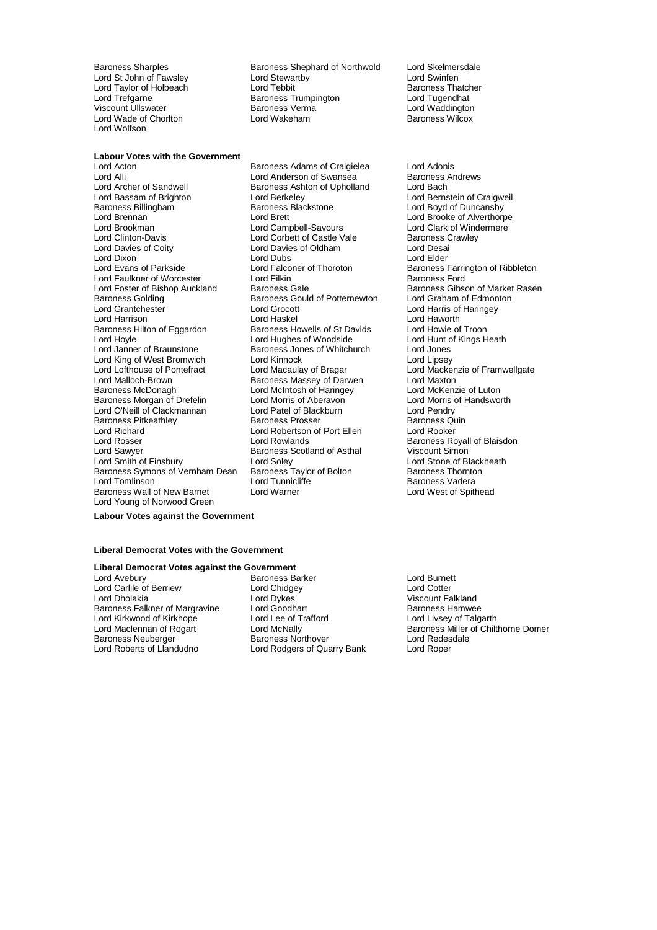Lord Taylor of Holbeach Lord Wade of Chorlton Lord Wolfson

Baroness Sharples Baroness Shephard of Northwold Lord Skelmersdale<br>
Lord Studen Cord Stewartby Lord Stewartby Lord Swinfen Lord St John of Fawsley Lord Stewartby Lord Swinfen Lord Trefgarne **Baroness Trumpington** Cord Tugendhat<br>
Viscount Ullswater **Baroness Verma** Cord Waddington Viscount Ullswater Baroness Verma Lord Waddington

#### **Labour Votes with the Government**

Lord Alli Lord Anderson of Swansea Baroness Andrews Lord Anderson of Swansea Baroness Ashton of Upholland Lord Bach Lord Bassam of Brighton Lord Berkeley Lord Bernstein of Craigweil Baroness Billingham Baroness Blackstone Cord Boyd of Duncansby<br>
Lord Brennan Cord Brett Lord Brooke of Alverthorp Lord Brennan Lord Brett Lord Brooke of Alverthorpe Lord Clinton-Davis **Lord Corbett of Castle Vale** Baroness Crawley<br>
Lord Davies of Cort Lord Davies of Oldham<br>
Lord Davies of Cortonal Lord Davies of Oldham Lord Dixon<br>
Lord Evans of Parkside<br>
Lord Ealconer of Thoroton Lord Faulkner of Worcester **Lord Filkin** Lord Filkin Baroness Ford<br>
Lord Foster of Bishop Auckland Baroness Gale **Baroness Ford** Lord Foster of Bishop Auckland Baroness Gale Baroness Gibson of Market Rasen<br>Baroness Golding Baroness Gould of Potternewton Lord Graham of Edmonton Lord Grantchester Lord Grocott Lord Harris of Haringey Lord Harrison Lord Haskel Lord Haworth Lord Hoyle <sup>20</sup> **Lord Hughes of Woodside** Lord Hunt of Kings Heath<br>
Lord Janner of Braunstone **Baroness** Jones of Whitchurch Lord Jones Lord King of West Bromwich Lord Kinnock<br>
Lord Lofthouse of Pontefract Lord Macaulay of Bragar Lord Macke Lord Lofthouse of Pontefract Lord Macaulay of Bragar Lord Mackenzie of Framwellgate<br>Lord Malloch-Brown Baroness Massey of Darwen Lord Maxton Baroness McDonagh **Lord McIntosh of Haringey** Lord McKenzie of Luton<br>
Baroness Morgan of Drefelin Lord Morris of Aberavon Lord Morris of Handsworth Baroness Morgan of Drefelin Lord Morris of Aberavon Cord Morris Lord Morris of Aberavon Cord Pendry<br>
Lord O'Neill of Clackmannan Lord Patel of Blackburn Lord Pendry Lord O'Neill of Clackmannan Baroness Pitkeathley **Baroness Prosser** Baroness Quin<br>
Lord Richard **Baroness Cuin**<br>
Lord Rooker **Baroness** Lord Robertson of Port Ellen Lord Richard **Lord Robertson of Port Ellen**<br>
Lord Rosser **Lord Rowlands** Lord Rosser **Lord Rowlands Baroness Royall of Blaisdon**<br>
Lord Sawyer **Baroness Scotland of Asthal** Viscount Simon Lord Smith of Finsbury Lord Soley Lord Soley Lord Stone of Blackheath<br>
Baroness Symons of Vernham Dean Baroness Taylor of Bolton Baroness Thornton Baroness Symons of Vernham Dean Baroness Taylor<br>1 ord Tomlinson Baroness Taylor Baroness Wall of New Barnet Lord Warner Lord Young of Norwood Green

Lord Acton **Confluence Communist Confluence Confluence** Lord Adonis<br>
Lord Alli **Confluence Lord Anderson of Swansea** Baroness Andrews Baroness Ashton of Upholland<br>Lord Berkeley Lord Campbell-Savours Lord Davies of Oldham Lord Desai<br>
Lord Dubs Lord Elder Baroness Gould of Potternewton Baroness Howells of St Davids<br>Lord Hughes of Woodside Exaroness Jones of Whitchurch Lord Jones<br>
Lord Kinnock Cord Lord Lipsev Baroness Massey of Darwen Lord Maxton Baroness Scotland of Asthal

Baroness Farrington of Ribbleton Baroness Vadera<br>Lord West of Spithead

**Labour Votes against the Government**

#### **Liberal Democrat Votes with the Government**

# **Liberal Democrat Votes against the Government**

Lord Dholakia Lord Dykes Viscount Falkland Baroness Falkner of Margravine Lord Goodhart Communication and Baroness Hamwee<br>
Lord Kirkwood of Kirkhope Lord Lee of Trafford Lord Livsey of Talgarth Lord Kirkwood of Kirkhope

Lord Avebury Baroness Barker Lord Burnett Lord Carlile of Berriew Lord Chidgey Lord Cotter Baroness Neuberger and Baroness Northover and Redes<br>
Lord Roberts of Llandudno Lord Rodgers of Quarry Bank Lord Roper Lord Rodgers of Quarry Bank

Lord Maclennan of Rogart Lord McNally Baroness Miller of Chilthorne Domer<br>Baroness Neuberger Baroness Northover Lord Redesdale